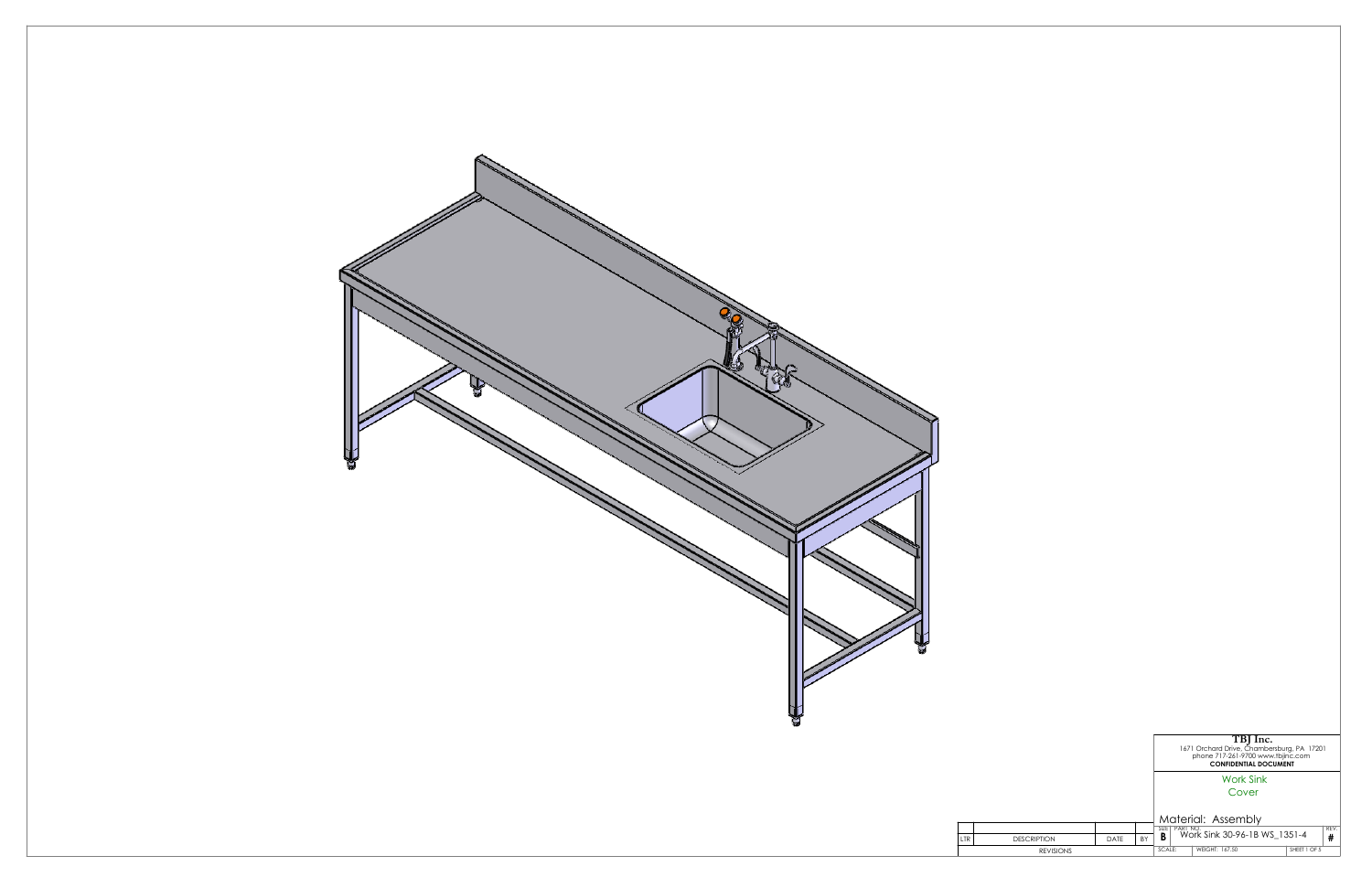

|                    |      |           | TBJ Inc.<br>1671 Orchard Drive, Chambersburg, PA 17201<br>phone 717-261-9700 www.tbjinc.com<br><b>CONFIDENTIAL DOCUMENT</b> |                              |              |   |
|--------------------|------|-----------|-----------------------------------------------------------------------------------------------------------------------------|------------------------------|--------------|---|
|                    |      |           | <b>Work Sink</b>                                                                                                            |                              |              |   |
|                    |      |           | Cover                                                                                                                       |                              |              |   |
|                    |      |           | Material: Assembly<br>SIZE <sub>I</sub><br>REV.<br>PART NO.                                                                 |                              |              |   |
| <b>DESCRIPTION</b> | DATE | <b>BY</b> | B                                                                                                                           | Work Sink 30-96-1B WS 1351-4 |              | # |
| <b>REVISIONS</b>   |      |           | SCALE:                                                                                                                      | WEIGHT: 167.50               | SHEET 1 OF 5 |   |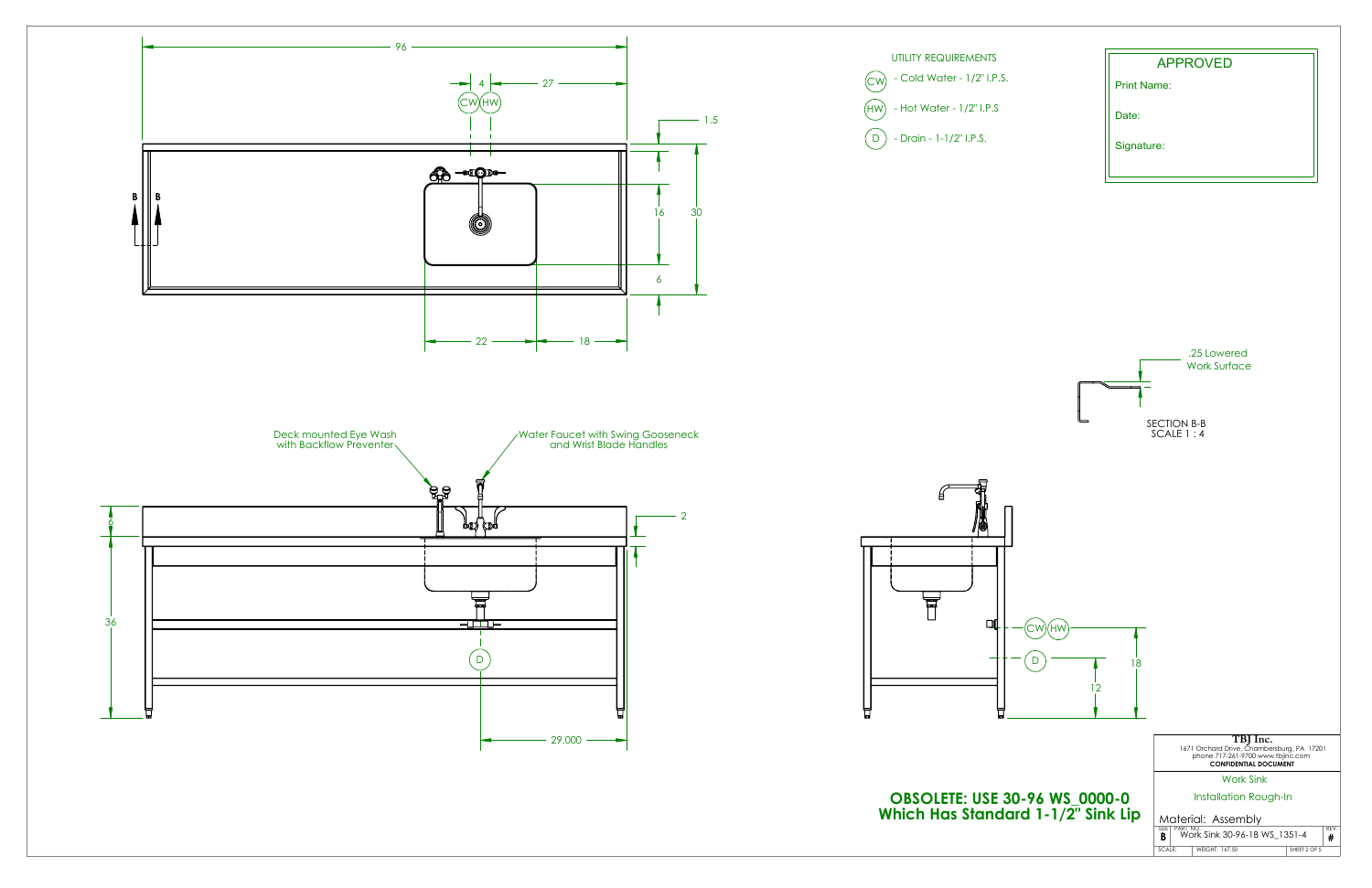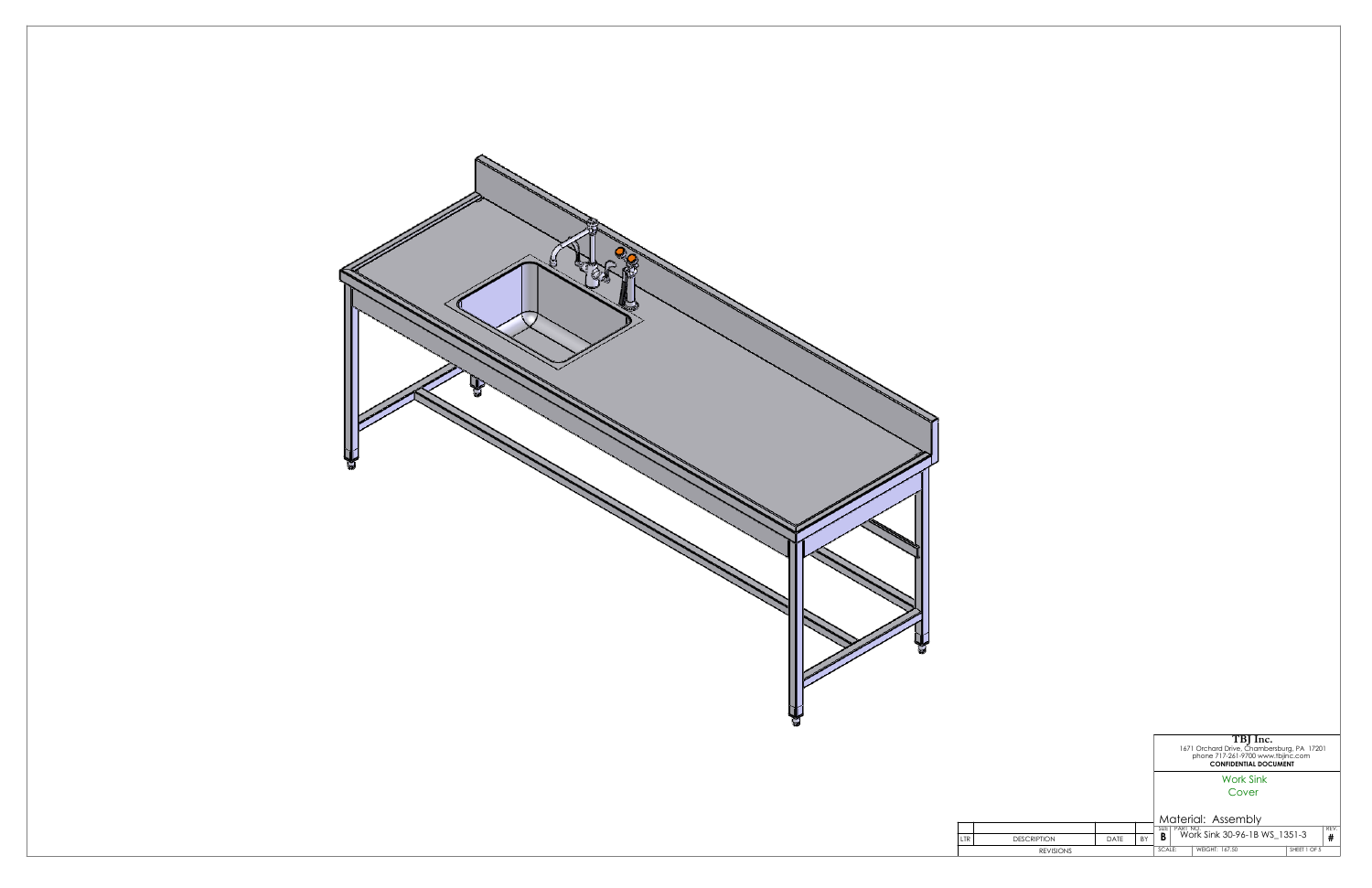

|                    |      |           | TBJ Inc.<br>1671 Orchard Drive, Chambersburg, PA 17201<br>phone 717-261-9700 www.tbjinc.com<br><b>CONFIDENTIAL DOCUMENT</b> |                              |              |  |  |
|--------------------|------|-----------|-----------------------------------------------------------------------------------------------------------------------------|------------------------------|--------------|--|--|
|                    |      |           | <b>Work Sink</b>                                                                                                            |                              |              |  |  |
|                    |      |           | Cover                                                                                                                       |                              |              |  |  |
|                    |      |           | Material: Assembly                                                                                                          |                              |              |  |  |
|                    |      |           | SIZE <sub>I</sub><br>PART NO.<br>B                                                                                          | Work Sink 30-96-1B WS 1351-3 | REV.         |  |  |
| <b>DESCRIPTION</b> | DATE | <b>BY</b> |                                                                                                                             |                              | #            |  |  |
| <b>REVISIONS</b>   |      |           | SCALE:                                                                                                                      | WEIGHT: 167.50               | SHEET 1 OF 5 |  |  |